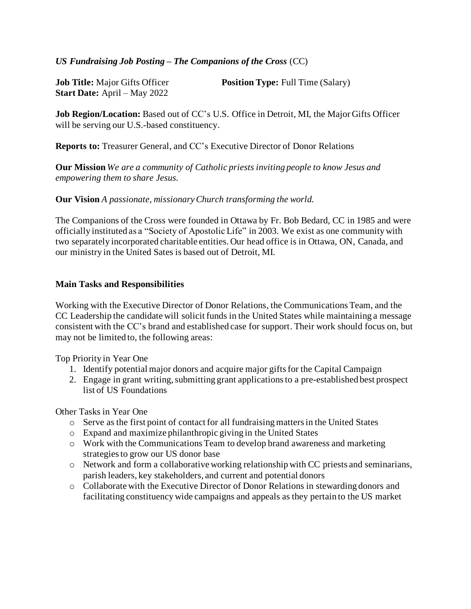## *US Fundraising Job Posting – The Companions of the Cross* (CC)

| <b>Job Title:</b> Major Gifts Officer | <b>Position Type:</b> Full Time (Salary) |
|---------------------------------------|------------------------------------------|
| <b>Start Date:</b> April – May 2022   |                                          |

**Job Region/Location:** Based out of CC's U.S. Office in Detroit, MI, the Major Gifts Officer will be serving our U.S.-based constituency.

**Reports to:** Treasurer General, and CC's Executive Director of Donor Relations

**Our Mission** *We are a community of Catholic priests inviting people to know Jesus and empowering them to share Jesus.* 

**Our Vision** *A passionate, missionary Church transforming the world.*

The Companions of the Cross were founded in Ottawa by Fr. Bob Bedard, CC in 1985 and were officially instituted as a "Society of Apostolic Life" in 2003. We exist as one community with two separately incorporated charitable entities. Our head office is in Ottawa, ON, Canada, and our ministry in the United Sates is based out of Detroit, MI.

### **Main Tasks and Responsibilities**

Working with the Executive Director of Donor Relations, the Communications Team, and the CC Leadership the candidate will solicit funds in the United States while maintaining a message consistent with the CC's brand and established case for support. Their work should focus on, but may not be limited to, the following areas:

Top Priority in Year One

- 1. Identify potential major donors and acquire major gifts for the Capital Campaign
- 2. Engage in grant writing, submitting grant applications to a pre-established best prospect list of US Foundations

Other Tasks in Year One

- $\circ$  Serve as the first point of contact for all fundraising matters in the United States
- o Expand and maximize philanthropic giving in the United States
- o Work with the Communications Team to develop brand awareness and marketing strategies to grow our US donor base
- o Network and form a collaborative working relationship with CC priests and seminarians, parish leaders, key stakeholders, and current and potential donors
- o Collaborate with the Executive Director of Donor Relations in stewarding donors and facilitating constituency wide campaigns and appeals as they pertain to the US market